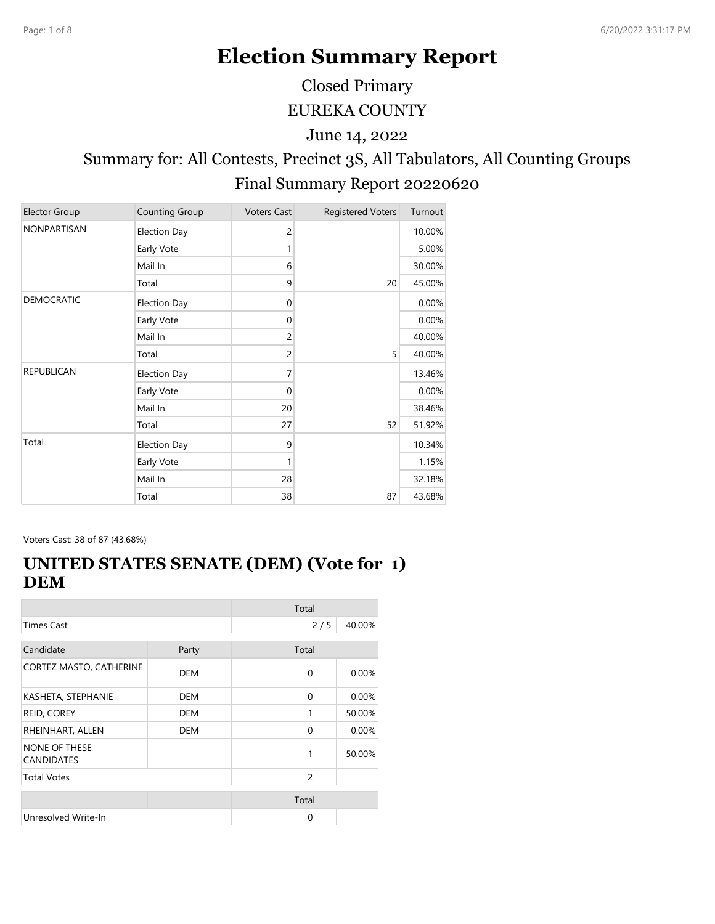# **Election Summary Report**

Closed Primary

EUREKA COUNTY

June 14, 2022

# Summary for: All Contests, Precinct 3S, All Tabulators, All Counting Groups Final Summary Report 20220620

| <b>Elector Group</b> | <b>Counting Group</b> | <b>Voters Cast</b> | <b>Registered Voters</b> | Turnout |
|----------------------|-----------------------|--------------------|--------------------------|---------|
| NONPARTISAN          | <b>Election Day</b>   | 2                  |                          | 10.00%  |
|                      | Early Vote            | 1                  |                          | 5.00%   |
|                      | Mail In               | 6                  |                          | 30.00%  |
|                      | Total                 | 9                  | 20                       | 45.00%  |
| <b>DEMOCRATIC</b>    | <b>Election Day</b>   | $\mathbf 0$        |                          | 0.00%   |
|                      | Early Vote            | $\mathbf 0$        |                          | 0.00%   |
|                      | Mail In               | $\overline{c}$     |                          | 40.00%  |
|                      | Total                 | 2                  | 5                        | 40.00%  |
| <b>REPUBLICAN</b>    | <b>Election Day</b>   | 7                  |                          | 13.46%  |
|                      | Early Vote            | 0                  |                          | 0.00%   |
|                      | Mail In               | 20                 |                          | 38.46%  |
|                      | Total                 | 27                 | 52                       | 51.92%  |
| Total                | <b>Election Day</b>   | 9                  |                          | 10.34%  |
|                      | Early Vote            | 1                  |                          | 1.15%   |
|                      | Mail In               | 28                 |                          | 32.18%  |
|                      | Total                 | 38                 | 87                       | 43.68%  |

Voters Cast: 38 of 87 (43.68%)

#### **UNITED STATES SENATE (DEM) (Vote for 1) DEM**

|                                           |            | Total         |        |
|-------------------------------------------|------------|---------------|--------|
| <b>Times Cast</b>                         |            | 2/5           | 40.00% |
| Candidate                                 | Party      | Total         |        |
| CORTEZ MASTO, CATHERINE                   | DEM        | 0             | 0.00%  |
| KASHETA, STEPHANIE                        | <b>DEM</b> | 0             | 0.00%  |
| REID, COREY                               | <b>DEM</b> | 1             | 50.00% |
| RHEINHART, ALLEN                          | <b>DEM</b> | 0             | 0.00%  |
| <b>NONE OF THESE</b><br><b>CANDIDATES</b> |            | 1             | 50.00% |
| <b>Total Votes</b>                        |            | $\mathcal{P}$ |        |
|                                           |            | Total         |        |
| Unresolved Write-In                       |            | 0             |        |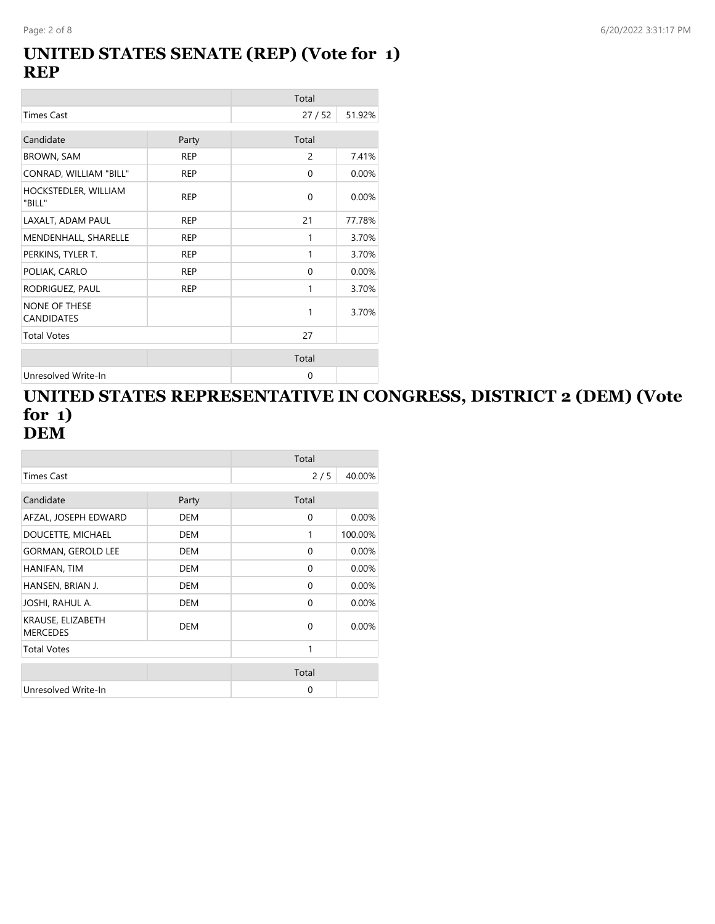#### **UNITED STATES SENATE (REP) (Vote for 1) REP**

|                                           |            | Total        |        |
|-------------------------------------------|------------|--------------|--------|
| <b>Times Cast</b>                         |            | 27/52        | 51.92% |
| Candidate                                 | Party      | Total        |        |
| <b>BROWN, SAM</b>                         | <b>REP</b> | 2            | 7.41%  |
| CONRAD, WILLIAM "BILL"                    | <b>REP</b> | 0            | 0.00%  |
| HOCKSTEDLER, WILLIAM<br>"BILL"            | <b>REP</b> | 0            | 0.00%  |
| LAXALT, ADAM PAUL                         | <b>REP</b> | 21           | 77.78% |
| MENDENHALL, SHARELLE                      | <b>REP</b> | 1            | 3.70%  |
| PERKINS, TYLER T.                         | <b>REP</b> | 1            | 3.70%  |
| POLIAK, CARLO                             | <b>REP</b> | $\Omega$     | 0.00%  |
| RODRIGUEZ, PAUL                           | <b>REP</b> | $\mathbf{1}$ | 3.70%  |
| <b>NONE OF THESE</b><br><b>CANDIDATES</b> |            | 1            | 3.70%  |
| <b>Total Votes</b>                        |            | 27           |        |
|                                           |            | Total        |        |
| Unresolved Write-In                       |            | 0            |        |

#### **UNITED STATES REPRESENTATIVE IN CONGRESS, DISTRICT 2 (DEM) (Vote for 1) DEM**

|                                      |            | Total    |         |
|--------------------------------------|------------|----------|---------|
| Times Cast                           |            | 2/5      | 40.00%  |
| Candidate                            | Party      | Total    |         |
| AFZAL, JOSEPH EDWARD                 | <b>DEM</b> | $\Omega$ | 0.00%   |
| DOUCETTE, MICHAEL                    | <b>DEM</b> | 1        | 100.00% |
| <b>GORMAN, GEROLD LEE</b>            | <b>DEM</b> | 0        | 0.00%   |
| HANIFAN, TIM                         | <b>DEM</b> | $\Omega$ | 0.00%   |
| HANSEN, BRIAN J.                     | <b>DEM</b> | $\Omega$ | 0.00%   |
| JOSHI, RAHUL A.                      | <b>DEM</b> | $\Omega$ | 0.00%   |
| KRAUSE, ELIZABETH<br><b>MERCEDES</b> | <b>DEM</b> | 0        | 0.00%   |
| <b>Total Votes</b>                   |            | 1        |         |
|                                      |            | Total    |         |
| Unresolved Write-In                  |            | 0        |         |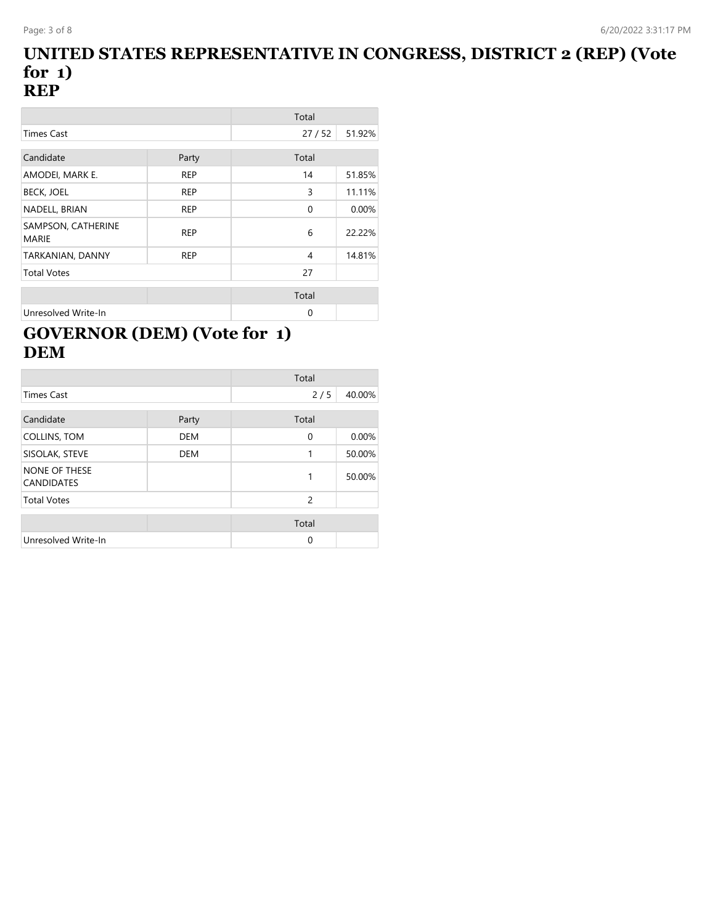#### **UNITED STATES REPRESENTATIVE IN CONGRESS, DISTRICT 2 (REP) (Vote for 1) REP**

|                                    |            | Total |        |
|------------------------------------|------------|-------|--------|
| Times Cast                         |            | 27/52 | 51.92% |
|                                    |            |       |        |
| Candidate                          | Party      | Total |        |
| AMODEI, MARK E.                    | <b>REP</b> | 14    | 51.85% |
| <b>BECK, JOEL</b>                  | <b>REP</b> | 3     | 11.11% |
| NADELL, BRIAN                      | <b>REP</b> | 0     | 0.00%  |
| SAMPSON, CATHERINE<br><b>MARIE</b> | <b>REP</b> | 6     | 22.22% |
| TARKANIAN, DANNY                   | <b>REP</b> | 4     | 14.81% |
| <b>Total Votes</b>                 |            | 27    |        |
|                                    |            | Total |        |
| Unresolved Write-In                |            | 0     |        |

# **GOVERNOR (DEM) (Vote for 1) DEM**

|                                    |            | Total    |        |
|------------------------------------|------------|----------|--------|
| <b>Times Cast</b>                  |            | 2/5      | 40.00% |
| Candidate                          | Party      | Total    |        |
| COLLINS, TOM                       | <b>DEM</b> | $\Omega$ | 0.00%  |
| SISOLAK, STEVE                     | <b>DEM</b> | 1        | 50.00% |
| NONE OF THESE<br><b>CANDIDATES</b> |            | 1        | 50.00% |
| <b>Total Votes</b>                 |            | 2        |        |
|                                    |            | Total    |        |
| Unresolved Write-In                |            | 0        |        |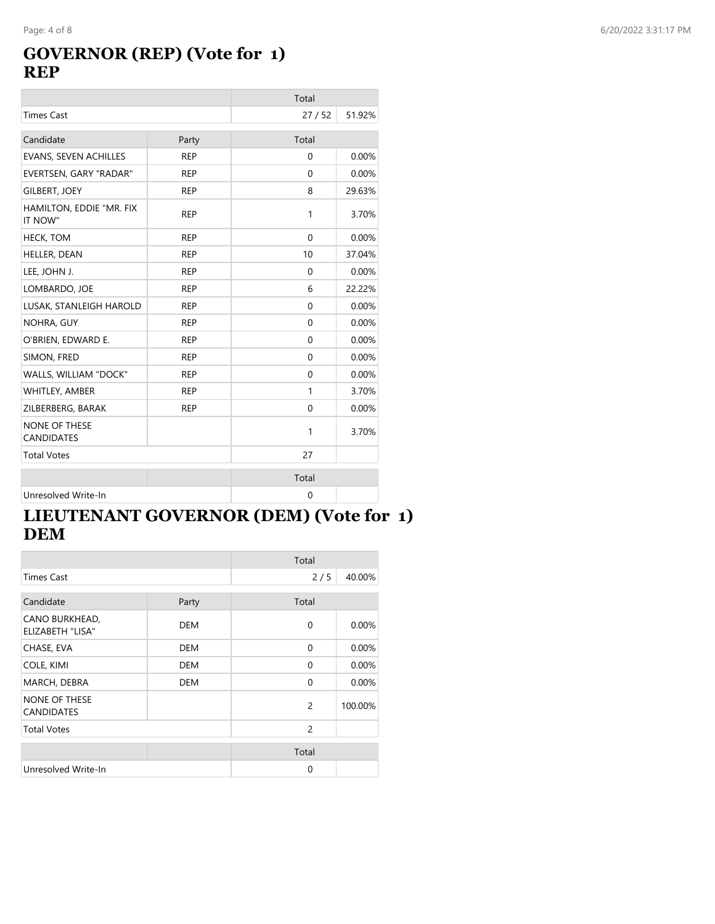#### **GOVERNOR (REP) (Vote for 1) REP**

|                                           |            | Total       |        |
|-------------------------------------------|------------|-------------|--------|
| <b>Times Cast</b>                         |            | 27/52       | 51.92% |
| Candidate                                 | Party      | Total       |        |
| <b>EVANS, SEVEN ACHILLES</b>              | <b>REP</b> | 0           | 0.00%  |
| EVERTSEN, GARY "RADAR"                    | <b>REP</b> | $\Omega$    | 0.00%  |
| <b>GILBERT, JOEY</b>                      | <b>REP</b> | 8           | 29.63% |
| HAMILTON, EDDIE "MR. FIX<br>IT NOW"       | <b>REP</b> | 1           | 3.70%  |
| <b>HECK, TOM</b>                          | <b>REP</b> | $\mathbf 0$ | 0.00%  |
| HELLER, DEAN                              | <b>REP</b> | 10          | 37.04% |
| LEE, JOHN J.                              | <b>REP</b> | $\Omega$    | 0.00%  |
| LOMBARDO, JOE                             | <b>REP</b> | 6           | 22.22% |
| LUSAK, STANLEIGH HAROLD                   | <b>REP</b> | $\Omega$    | 0.00%  |
| NOHRA, GUY                                | <b>REP</b> | $\Omega$    | 0.00%  |
| O'BRIEN, EDWARD E.                        | <b>REP</b> | $\Omega$    | 0.00%  |
| SIMON, FRED                               | <b>REP</b> | $\Omega$    | 0.00%  |
| WALLS, WILLIAM "DOCK"                     | <b>REP</b> | $\Omega$    | 0.00%  |
| WHITLEY, AMBER                            | <b>REP</b> | 1           | 3.70%  |
| ZILBERBERG, BARAK                         | <b>REP</b> | 0           | 0.00%  |
| <b>NONE OF THESE</b><br><b>CANDIDATES</b> |            | 1           | 3.70%  |
| <b>Total Votes</b>                        |            | 27          |        |
|                                           |            | Total       |        |
| Unresolved Write-In                       |            | $\mathbf 0$ |        |

### **LIEUTENANT GOVERNOR (DEM) (Vote for 1) DEM**

|                                           |            | Total         |         |
|-------------------------------------------|------------|---------------|---------|
| Times Cast                                |            | 2/5           | 40.00%  |
| Candidate                                 | Party      | Total         |         |
| CANO BURKHEAD,<br><b>ELIZABETH "LISA"</b> | <b>DEM</b> | 0             | 0.00%   |
| CHASE, EVA                                | <b>DEM</b> | $\Omega$      | 0.00%   |
| COLE, KIMI                                | <b>DEM</b> | $\Omega$      | 0.00%   |
| MARCH, DEBRA                              | <b>DEM</b> | 0             | 0.00%   |
| <b>NONE OF THESE</b><br><b>CANDIDATES</b> |            | 2             | 100.00% |
| <b>Total Votes</b>                        |            | $\mathcal{P}$ |         |
|                                           |            | Total         |         |
| Unresolved Write-In                       |            | $\Omega$      |         |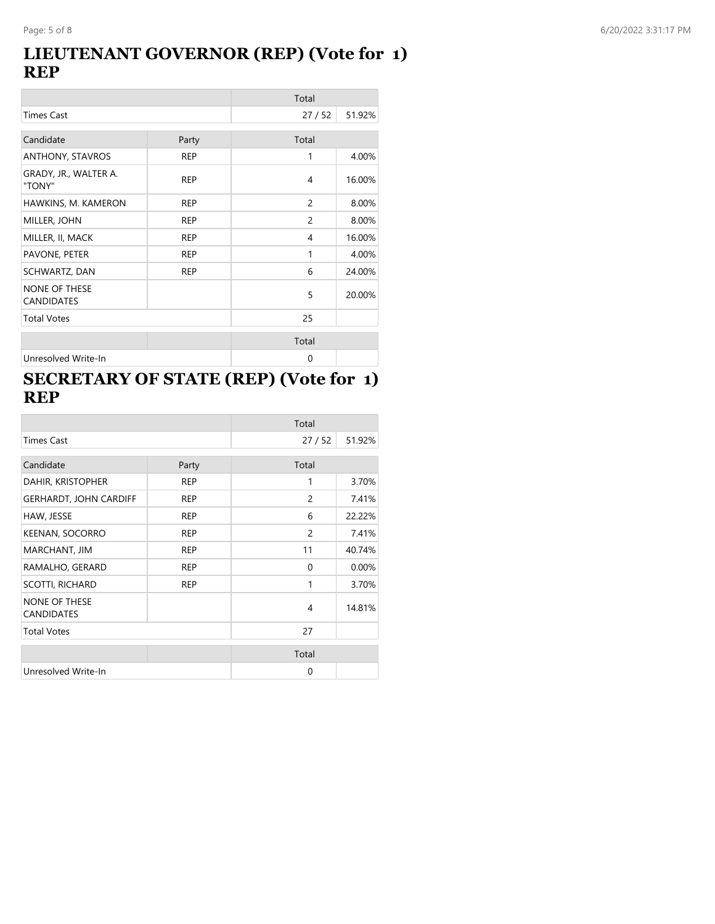### **LIEUTENANT GOVERNOR (REP) (Vote for 1) REP**

|                                           |            | Total          |        |
|-------------------------------------------|------------|----------------|--------|
| <b>Times Cast</b>                         |            | 27/52          | 51.92% |
| Candidate                                 | Party      | Total          |        |
| ANTHONY, STAVROS                          | <b>REP</b> | 1              | 4.00%  |
| GRADY, JR., WALTER A.<br>"TONY"           | <b>REP</b> | 4              | 16.00% |
| HAWKINS, M. KAMERON                       | <b>REP</b> | $\overline{c}$ | 8.00%  |
| MILLER, JOHN                              | <b>REP</b> | 2              | 8.00%  |
| MILLER, II, MACK                          | <b>REP</b> | 4              | 16.00% |
| PAVONE, PETER                             | <b>REP</b> | 1              | 4.00%  |
| SCHWARTZ, DAN                             | <b>REP</b> | 6              | 24.00% |
| <b>NONE OF THESE</b><br><b>CANDIDATES</b> |            | 5              | 20.00% |
| <b>Total Votes</b>                        |            | 25             |        |
|                                           |            | Total          |        |
| Unresolved Write-In                       |            | 0              |        |

### **SECRETARY OF STATE (REP) (Vote for 1) REP**

|                                           |            | Total          |        |
|-------------------------------------------|------------|----------------|--------|
| <b>Times Cast</b>                         |            | 27/52          | 51.92% |
| Candidate                                 | Party      | Total          |        |
| DAHIR, KRISTOPHER                         | <b>REP</b> | 1              | 3.70%  |
| <b>GERHARDT, JOHN CARDIFF</b>             | <b>REP</b> | 2              | 7.41%  |
| HAW, JESSE                                | <b>REP</b> | 6              | 22.22% |
| KEENAN, SOCORRO                           | <b>REP</b> | $\overline{c}$ | 7.41%  |
| MARCHANT, JIM                             | <b>REP</b> | 11             | 40.74% |
| RAMALHO, GERARD                           | <b>REP</b> | $\Omega$       | 0.00%  |
| <b>SCOTTI, RICHARD</b>                    | <b>REP</b> | 1              | 3.70%  |
| <b>NONE OF THESE</b><br><b>CANDIDATES</b> |            | 4              | 14.81% |
| <b>Total Votes</b>                        |            | 27             |        |
|                                           |            | Total          |        |
| Unresolved Write-In                       |            | $\Omega$       |        |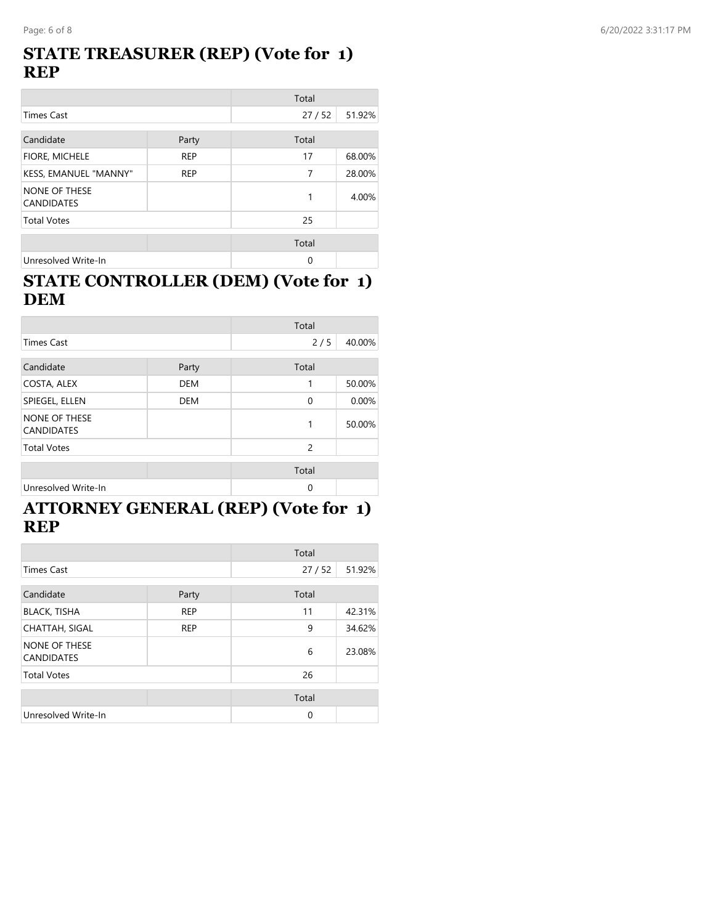#### **STATE TREASURER (REP) (Vote for 1) REP**

|                                           |            | Total |        |
|-------------------------------------------|------------|-------|--------|
| <b>Times Cast</b>                         |            | 27/52 | 51.92% |
| Candidate                                 | Party      | Total |        |
| <b>FIORE, MICHELE</b>                     | <b>REP</b> | 17    | 68.00% |
| KESS, EMANUEL "MANNY"                     | <b>REP</b> | 7     | 28.00% |
| <b>NONE OF THESE</b><br><b>CANDIDATES</b> |            | 1     | 4.00%  |
| <b>Total Votes</b>                        |            | 25    |        |
|                                           |            | Total |        |
| Unresolved Write-In                       |            | 0     |        |

#### **STATE CONTROLLER (DEM) (Vote for 1) DEM**

|                                           |            | Total         |        |
|-------------------------------------------|------------|---------------|--------|
| <b>Times Cast</b>                         |            | 2/5           | 40.00% |
| Candidate                                 | Party      | Total         |        |
| COSTA, ALEX                               | <b>DEM</b> | 1             | 50.00% |
| SPIEGEL, ELLEN                            | <b>DEM</b> | 0             | 0.00%  |
| <b>NONE OF THESE</b><br><b>CANDIDATES</b> |            | 1             | 50.00% |
| <b>Total Votes</b>                        |            | $\mathcal{P}$ |        |
|                                           |            | Total         |        |
| Unresolved Write-In                       |            | 0             |        |

### **ATTORNEY GENERAL (REP) (Vote for 1) REP**

|                                    |            | Total |        |
|------------------------------------|------------|-------|--------|
| <b>Times Cast</b>                  |            | 27/52 | 51.92% |
| Candidate                          | Party      | Total |        |
| <b>BLACK, TISHA</b>                | <b>REP</b> | 11    | 42.31% |
| <b>CHATTAH, SIGAL</b>              | <b>REP</b> | 9     | 34.62% |
| NONE OF THESE<br><b>CANDIDATES</b> |            | 6     | 23.08% |
| <b>Total Votes</b>                 |            | 26    |        |
|                                    |            | Total |        |
| Unresolved Write-In                |            | 0     |        |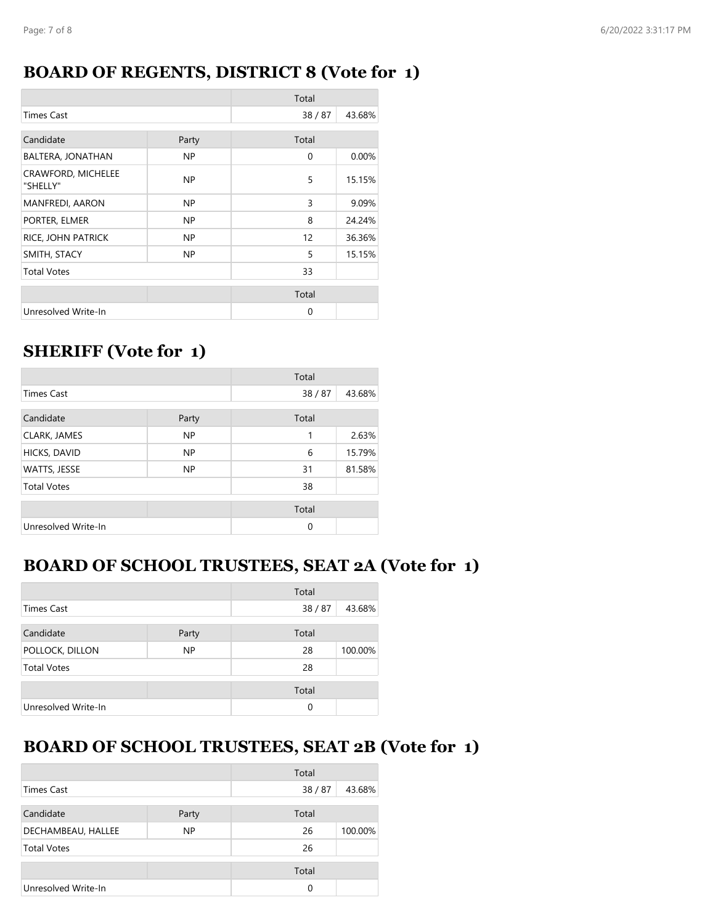### **BOARD OF REGENTS, DISTRICT 8 (Vote for 1)**

|                                |       | Total    |        |
|--------------------------------|-------|----------|--------|
| <b>Times Cast</b>              |       | 38 / 87  | 43.68% |
| Candidate                      | Party | Total    |        |
| BALTERA, JONATHAN              | NP.   | 0        | 0.00%  |
| CRAWFORD, MICHELEE<br>"SHELLY" | NP.   | 5        | 15.15% |
| <b>MANFREDI, AARON</b>         | NP.   | 3        | 9.09%  |
| PORTER, ELMER                  | NP.   | 8        | 24.24% |
| RICE, JOHN PATRICK             | NP.   | 12       | 36.36% |
| SMITH, STACY                   | NP.   | 5        | 15.15% |
| <b>Total Votes</b>             |       | 33       |        |
|                                |       | Total    |        |
| Unresolved Write-In            |       | $\Omega$ |        |

# **SHERIFF (Vote for 1)**

|                     |           | Total   |        |
|---------------------|-----------|---------|--------|
| <b>Times Cast</b>   |           | 38 / 87 | 43.68% |
| Candidate           | Party     | Total   |        |
| CLARK, JAMES        | <b>NP</b> | 1       | 2.63%  |
| HICKS, DAVID        | <b>NP</b> | 6       | 15.79% |
| WATTS, JESSE        | <b>NP</b> | 31      | 81.58% |
| <b>Total Votes</b>  |           | 38      |        |
|                     |           | Total   |        |
| Unresolved Write-In |           | 0       |        |

### **BOARD OF SCHOOL TRUSTEES, SEAT 2A (Vote for 1)**

|                     |           | Total    |         |
|---------------------|-----------|----------|---------|
| <b>Times Cast</b>   |           | 38/87    | 43.68%  |
| Candidate           | Party     | Total    |         |
| POLLOCK, DILLON     | <b>NP</b> | 28       | 100.00% |
| <b>Total Votes</b>  |           | 28       |         |
|                     |           | Total    |         |
| Unresolved Write-In |           | $\Omega$ |         |

# **BOARD OF SCHOOL TRUSTEES, SEAT 2B (Vote for 1)**

|                           |       | Total |         |
|---------------------------|-------|-------|---------|
| <b>Times Cast</b>         |       | 38/87 | 43.68%  |
| Candidate                 | Party | Total |         |
| DECHAMBEAU, HALLEE<br>NP. |       | 26    | 100.00% |
| <b>Total Votes</b>        |       | 26    |         |
|                           |       | Total |         |
| Unresolved Write-In       |       | 0     |         |